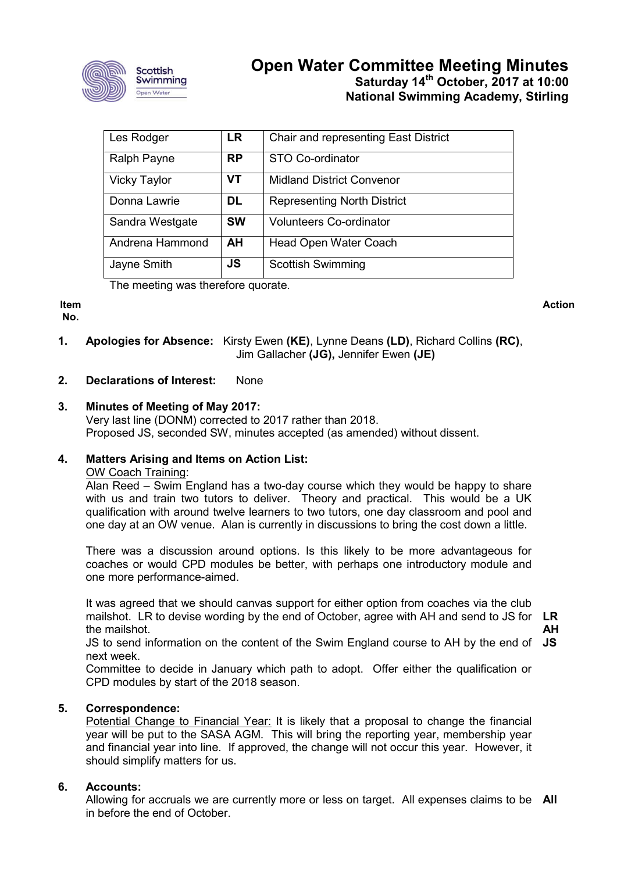

# **Open Water Committee Meeting Minutes Saturday 14th October, 2017 at 10:00 National Swimming Academy, Stirling**

| Les Rodger          | <b>LR</b> | Chair and representing East District |
|---------------------|-----------|--------------------------------------|
| Ralph Payne         | <b>RP</b> | STO Co-ordinator                     |
| <b>Vicky Taylor</b> | <b>VT</b> | <b>Midland District Convenor</b>     |
| Donna Lawrie        | DL        | <b>Representing North District</b>   |
| Sandra Westgate     | <b>SW</b> | <b>Volunteers Co-ordinator</b>       |
| Andrena Hammond     | AH        | Head Open Water Coach                |
| Jayne Smith         | <b>JS</b> | <b>Scottish Swimming</b>             |

The meeting was therefore quorate.

# **Item**

**No.**

- **Action**
- **1. Apologies for Absence:** Kirsty Ewen **(KE)**, Lynne Deans **(LD)**, Richard Collins **(RC)**, Jim Gallacher **(JG),** Jennifer Ewen **(JE)**

# **2. Declarations of Interest:** None

**3. Minutes of Meeting of May 2017:** Very last line (DONM) corrected to 2017 rather than 2018. Proposed JS, seconded SW, minutes accepted (as amended) without dissent.

# **4. Matters Arising and Items on Action List:**

## OW Coach Training:

Alan Reed – Swim England has a two-day course which they would be happy to share with us and train two tutors to deliver. Theory and practical. This would be a UK qualification with around twelve learners to two tutors, one day classroom and pool and one day at an OW venue. Alan is currently in discussions to bring the cost down a little.

There was a discussion around options. Is this likely to be more advantageous for coaches or would CPD modules be better, with perhaps one introductory module and one more performance-aimed.

It was agreed that we should canvas support for either option from coaches via the club mailshot. LR to devise wording by the end of October, agree with AH and send to JS for **LR** the mailshot.

**AH**

JS to send information on the content of the Swim England course to AH by the end of **JS** next week.

Committee to decide in January which path to adopt. Offer either the qualification or CPD modules by start of the 2018 season.

# **5. Correspondence:**

Potential Change to Financial Year: It is likely that a proposal to change the financial year will be put to the SASA AGM. This will bring the reporting year, membership year and financial year into line. If approved, the change will not occur this year. However, it should simplify matters for us.

# **6. Accounts:**

Allowing for accruals we are currently more or less on target. All expenses claims to be **All**in before the end of October.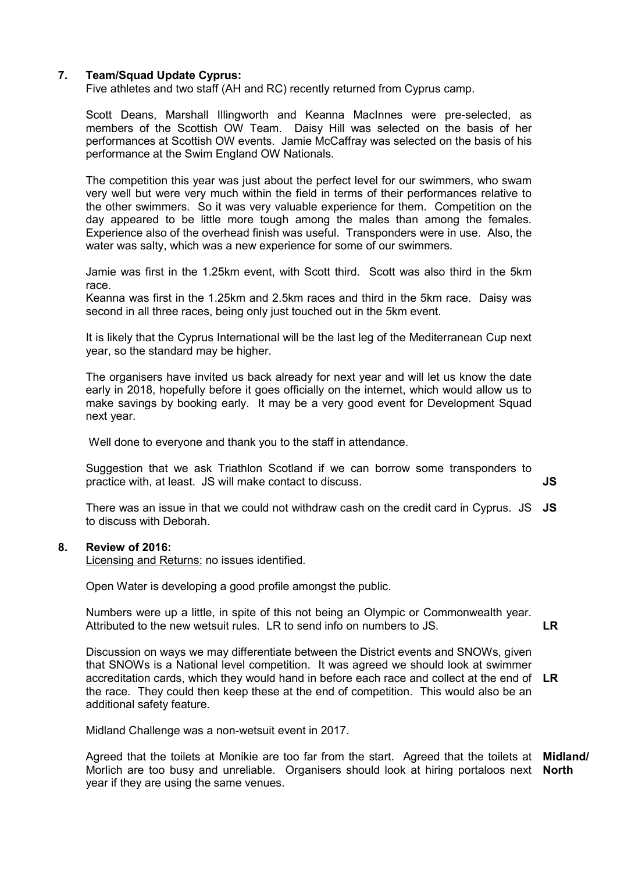### **7. Team/Squad Update Cyprus:**

Five athletes and two staff (AH and RC) recently returned from Cyprus camp.

Scott Deans, Marshall Illingworth and Keanna MacInnes were pre-selected, as members of the Scottish OW Team. Daisy Hill was selected on the basis of her performances at Scottish OW events. Jamie McCaffray was selected on the basis of his performance at the Swim England OW Nationals.

The competition this year was just about the perfect level for our swimmers, who swam very well but were very much within the field in terms of their performances relative to the other swimmers. So it was very valuable experience for them. Competition on the day appeared to be little more tough among the males than among the females. Experience also of the overhead finish was useful. Transponders were in use. Also, the water was salty, which was a new experience for some of our swimmers.

Jamie was first in the 1.25km event, with Scott third. Scott was also third in the 5km race.

Keanna was first in the 1.25km and 2.5km races and third in the 5km race. Daisy was second in all three races, being only just touched out in the 5km event.

It is likely that the Cyprus International will be the last leg of the Mediterranean Cup next year, so the standard may be higher.

The organisers have invited us back already for next year and will let us know the date early in 2018, hopefully before it goes officially on the internet, which would allow us to make savings by booking early. It may be a very good event for Development Squad next year.

Well done to everyone and thank you to the staff in attendance.

Suggestion that we ask Triathlon Scotland if we can borrow some transponders to practice with, at least. JS will make contact to discuss. **JS**

There was an issue in that we could not withdraw cash on the credit card in Cyprus. JS **JS** to discuss with Deborah.

#### **8. Review of 2016:**

Licensing and Returns: no issues identified.

Open Water is developing a good profile amongst the public.

Numbers were up a little, in spite of this not being an Olympic or Commonwealth year. Attributed to the new wetsuit rules. LR to send info on numbers to JS. **LR**

Discussion on ways we may differentiate between the District events and SNOWs, given that SNOWs is a National level competition. It was agreed we should look at swimmer accreditation cards, which they would hand in before each race and collect at the end of **LR** the race. They could then keep these at the end of competition. This would also be an additional safety feature.

Midland Challenge was a non-wetsuit event in 2017.

Agreed that the toilets at Monikie are too far from the start. Agreed that the toilets at **Midland/**  Morlich are too busy and unreliable. Organisers should look at hiring portaloos next **North**year if they are using the same venues.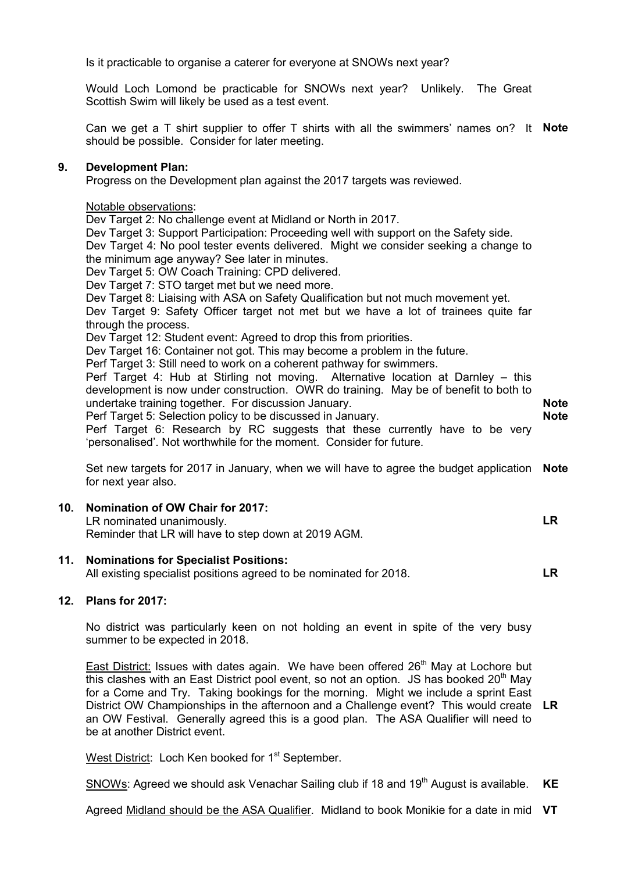Is it practicable to organise a caterer for everyone at SNOWs next year?

Would Loch Lomond be practicable for SNOWs next year? Unlikely. The Great Scottish Swim will likely be used as a test event.

Can we get a T shirt supplier to offer T shirts with all the swimmers' names on? It **Note** should be possible. Consider for later meeting.

#### **9. Development Plan:**

Progress on the Development plan against the 2017 targets was reviewed.

#### Notable observations:

Dev Target 2: No challenge event at Midland or North in 2017.

Dev Target 3: Support Participation: Proceeding well with support on the Safety side. Dev Target 4: No pool tester events delivered. Might we consider seeking a change to the minimum age anyway? See later in minutes.

Dev Target 5: OW Coach Training: CPD delivered.

Dev Target 7: STO target met but we need more.

Dev Target 8: Liaising with ASA on Safety Qualification but not much movement yet.

Dev Target 9: Safety Officer target not met but we have a lot of trainees quite far through the process.

Dev Target 12: Student event: Agreed to drop this from priorities.

Dev Target 16: Container not got. This may become a problem in the future.

Perf Target 3: Still need to work on a coherent pathway for swimmers.

Perf Target 4: Hub at Stirling not moving. Alternative location at Darnley – this development is now under construction. OWR do training. May be of benefit to both to undertake training together. For discussion January. Perf Target 5: Selection policy to be discussed in January. Perf Target 6: Research by RC suggests that these currently have to be very 'personalised'. Not worthwhile for the moment. Consider for future. **Note Note**

Set new targets for 2017 in January, when we will have to agree the budget application **Note** for next year also.

**LR**

#### **10. Nomination of OW Chair for 2017:**

LR nominated unanimously. Reminder that LR will have to step down at 2019 AGM.

#### **11. Nominations for Specialist Positions:**

All existing specialist positions agreed to be nominated for 2018. **LR**

#### **12. Plans for 2017:**

No district was particularly keen on not holding an event in spite of the very busy summer to be expected in 2018.

East District: Issues with dates again. We have been offered 26<sup>th</sup> May at Lochore but this clashes with an East District pool event, so not an option. JS has booked  $20<sup>th</sup>$  May for a Come and Try. Taking bookings for the morning. Might we include a sprint East District OW Championships in the afternoon and a Challenge event? This would create **LR** an OW Festival. Generally agreed this is a good plan. The ASA Qualifier will need to be at another District event.

West District: Loch Ken booked for 1<sup>st</sup> September.

SNOWs: Agreed we should ask Venachar Sailing club if 18 and 19<sup>th</sup> August is available. **KE**

Agreed Midland should be the ASA Qualifier. Midland to book Monikie for a date in mid **VT**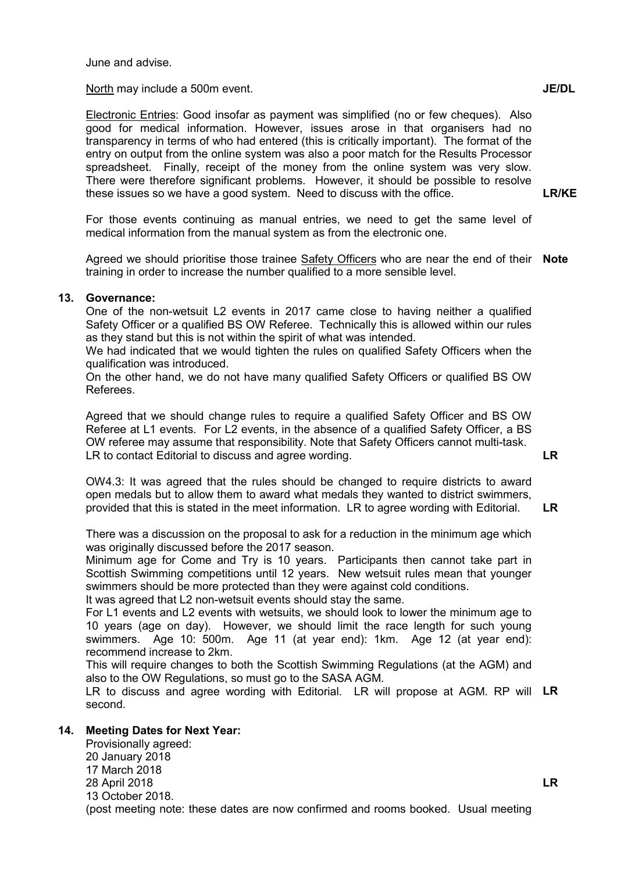June and advise.

North may include a 500m event.

Electronic Entries: Good insofar as payment was simplified (no or few cheques). Also good for medical information. However, issues arose in that organisers had no transparency in terms of who had entered (this is critically important). The format of the entry on output from the online system was also a poor match for the Results Processor spreadsheet. Finally, receipt of the money from the online system was very slow. There were therefore significant problems. However, it should be possible to resolve these issues so we have a good system. Need to discuss with the office.

For those events continuing as manual entries, we need to get the same level of medical information from the manual system as from the electronic one.

Agreed we should prioritise those trainee Safety Officers who are near the end of their **Note** training in order to increase the number qualified to a more sensible level.

#### **13. Governance:**

One of the non-wetsuit L2 events in 2017 came close to having neither a qualified Safety Officer or a qualified BS OW Referee. Technically this is allowed within our rules as they stand but this is not within the spirit of what was intended.

We had indicated that we would tighten the rules on qualified Safety Officers when the qualification was introduced.

On the other hand, we do not have many qualified Safety Officers or qualified BS OW Referees.

Agreed that we should change rules to require a qualified Safety Officer and BS OW Referee at L1 events. For L2 events, in the absence of a qualified Safety Officer, a BS OW referee may assume that responsibility. Note that Safety Officers cannot multi-task. LR to contact Editorial to discuss and agree wording.

OW4.3: It was agreed that the rules should be changed to require districts to award open medals but to allow them to award what medals they wanted to district swimmers, provided that this is stated in the meet information. LR to agree wording with Editorial.

There was a discussion on the proposal to ask for a reduction in the minimum age which was originally discussed before the 2017 season.

Minimum age for Come and Try is 10 years. Participants then cannot take part in Scottish Swimming competitions until 12 years. New wetsuit rules mean that younger swimmers should be more protected than they were against cold conditions.

It was agreed that L2 non-wetsuit events should stay the same.

For L1 events and L2 events with wetsuits, we should look to lower the minimum age to 10 years (age on day). However, we should limit the race length for such young swimmers. Age 10: 500m. Age 11 (at year end): 1km. Age 12 (at year end): recommend increase to 2km.

This will require changes to both the Scottish Swimming Regulations (at the AGM) and also to the OW Regulations, so must go to the SASA AGM.

LR to discuss and agree wording with Editorial. LR will propose at AGM. RP will **LR** second.

#### **14. Meeting Dates for Next Year:**

Provisionally agreed: 20 January 2018 17 March 2018 28 April 2018 13 October 2018. (post meeting note: these dates are now confirmed and rooms booked. Usual meeting

# **LR**

**LR/KE**

**LR**